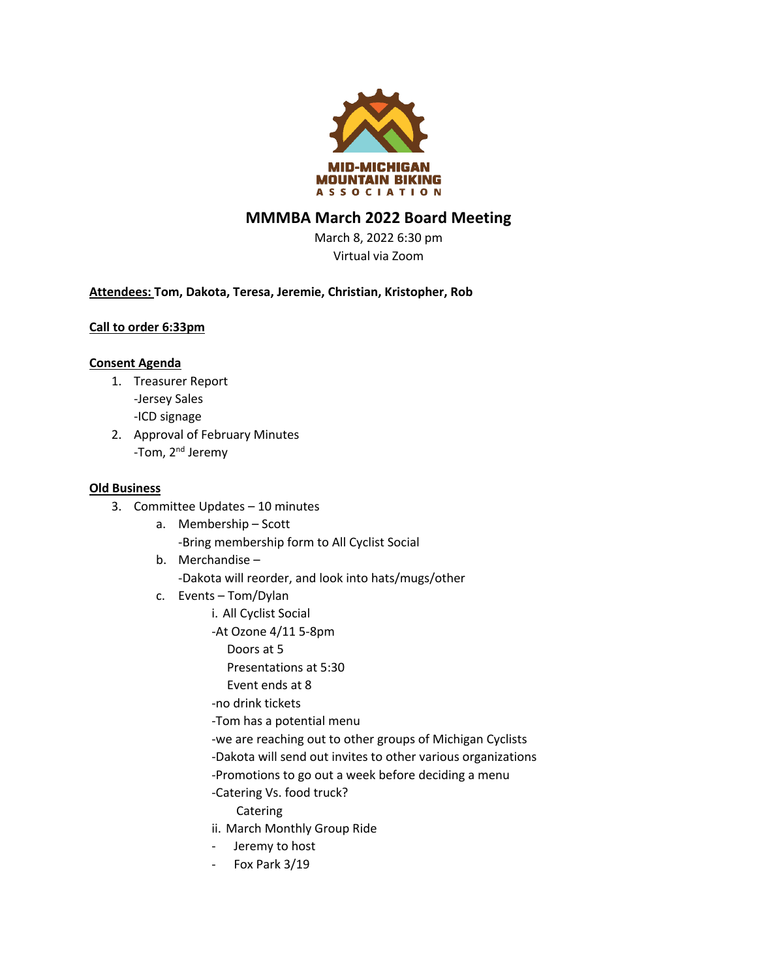

# **MMMBA March 2022 Board Meeting**

March 8, 2022 6:30 pm Virtual via Zoom

## **Attendees: Tom, Dakota, Teresa, Jeremie, Christian, Kristopher, Rob**

### **Call to order 6:33pm**

#### **Consent Agenda**

- 1. Treasurer Report -Jersey Sales -ICD signage
- 2. Approval of February Minutes -Tom, 2<sup>nd</sup> Jeremy

#### **Old Business**

- 3. Committee Updates 10 minutes
	- a. Membership Scott -Bring membership form to All Cyclist Social
	- b. Merchandise -Dakota will reorder, and look into hats/mugs/other
	- c. Events Tom/Dylan
		- i. All Cyclist Social
		- -At Ozone 4/11 5-8pm
		- Doors at 5
			- Presentations at 5:30
		- Event ends at 8
		- -no drink tickets
		- -Tom has a potential menu
		- -we are reaching out to other groups of Michigan Cyclists
		- -Dakota will send out invites to other various organizations
		- -Promotions to go out a week before deciding a menu
		- -Catering Vs. food truck?
			- Catering
		- ii. March Monthly Group Ride
		- Jeremy to host
		- Fox Park 3/19